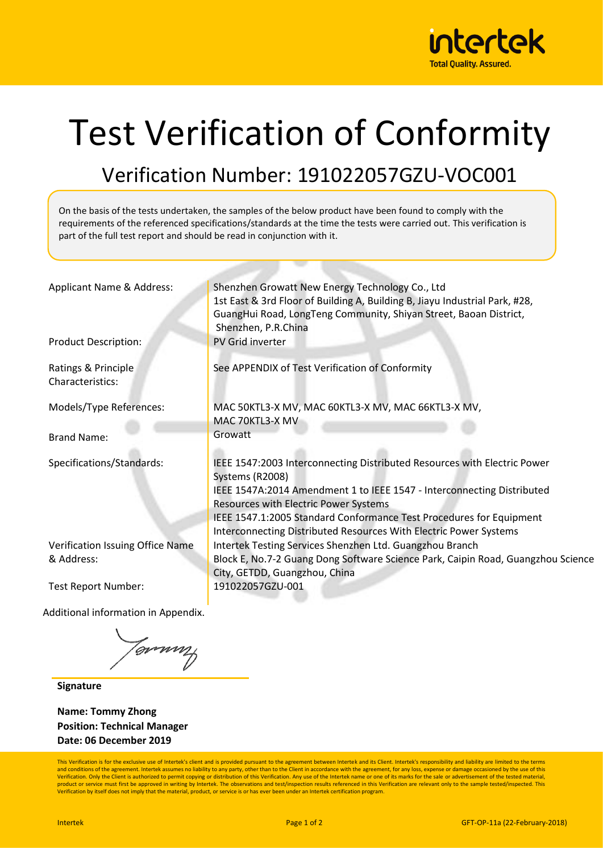

## Test Verification of Conformity

Verification Number: 191022057GZU-VOC001

On the basis of the tests undertaken, the samples of the below product have been found to comply with the requirements of the referenced specifications/standards at the time the tests were carried out. This verification is part of the full test report and should be read in conjunction with it.

| Applicant Name & Address:               | Shenzhen Growatt New Energy Technology Co., Ltd                                                                                                  |  |  |  |  |
|-----------------------------------------|--------------------------------------------------------------------------------------------------------------------------------------------------|--|--|--|--|
|                                         | 1st East & 3rd Floor of Building A, Building B, Jiayu Industrial Park, #28,<br>GuangHui Road, LongTeng Community, Shiyan Street, Baoan District, |  |  |  |  |
|                                         | Shenzhen, P.R.China                                                                                                                              |  |  |  |  |
| <b>Product Description:</b>             | PV Grid inverter                                                                                                                                 |  |  |  |  |
| Ratings & Principle<br>Characteristics: | See APPENDIX of Test Verification of Conformity                                                                                                  |  |  |  |  |
| Models/Type References:                 | MAC 50KTL3-X MV, MAC 60KTL3-X MV, MAC 66KTL3-X MV,                                                                                               |  |  |  |  |
|                                         | MAC 70KTL3-X MV                                                                                                                                  |  |  |  |  |
| <b>Brand Name:</b>                      | Growatt                                                                                                                                          |  |  |  |  |
| Specifications/Standards:               | IEEE 1547:2003 Interconnecting Distributed Resources with Electric Power<br>Systems (R2008)                                                      |  |  |  |  |
|                                         | IEEE 1547A:2014 Amendment 1 to IEEE 1547 - Interconnecting Distributed<br>Resources with Electric Power Systems                                  |  |  |  |  |
|                                         | IEEE 1547.1:2005 Standard Conformance Test Procedures for Equipment<br>Interconnecting Distributed Resources With Electric Power Systems         |  |  |  |  |
| Verification Issuing Office Name        | Intertek Testing Services Shenzhen Ltd. Guangzhou Branch                                                                                         |  |  |  |  |
| & Address:                              | Block E, No.7-2 Guang Dong Software Science Park, Caipin Road, Guangzhou Science                                                                 |  |  |  |  |
|                                         | City, GETDD, Guangzhou, China                                                                                                                    |  |  |  |  |
| Test Report Number:                     | 191022057GZU-001                                                                                                                                 |  |  |  |  |
|                                         |                                                                                                                                                  |  |  |  |  |

Additional information in Appendix.

tgmmy

**Signature**

**Name: Tommy Zhong Position: Technical Manager Date: 06 December 2019**

This Verification is for the exclusive use of Intertek's client and is provided pursuant to the agreement between Intertek and its Client. Intertek's responsibility and liability are limited to the terms and conditions of the agreement. Intertek assumes no liability to any party, other than to the Client in accordance with the agreement, for any loss, expense or damage occasioned by the use of this<br>Verification. Only the C product or service must first be approved in writing by Intertek. The observations and test/inspection results referenced in this Verification are relevant only to the sample tested/inspected. This Verification by itself does not imply that the material, product, or service is or has ever been under an Intertek certification program.